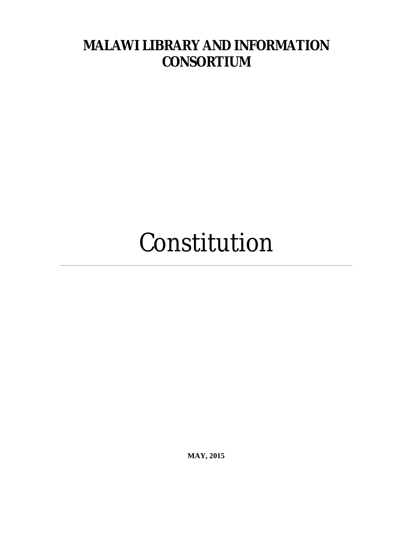# **MALAWI LIBRARY AND INFORMATION CONSORTIUM**

# Constitution

**MAY, 2015**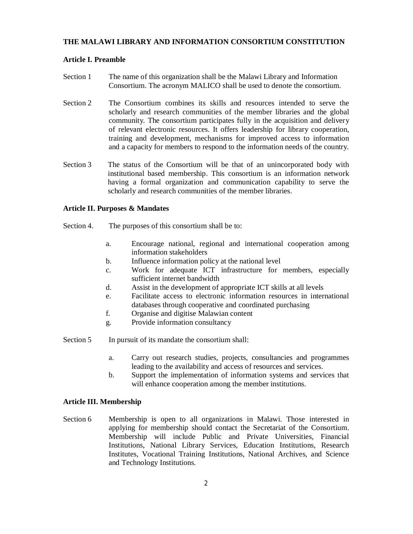# **THE MALAWI LIBRARY AND INFORMATION CONSORTIUM CONSTITUTION**

# **Article I. Preamble**

- Section 1 The name of this organization shall be the Malawi Library and Information Consortium. The acronym MALICO shall be used to denote the consortium.
- Section 2 The Consortium combines its skills and resources intended to serve the scholarly and research communities of the member libraries and the global community. The consortium participates fully in the acquisition and delivery of relevant electronic resources. It offers leadership for library cooperation, training and development, mechanisms for improved access to information and a capacity for members to respond to the information needs of the country.
- Section 3 The status of the Consortium will be that of an unincorporated body with institutional based membership. This consortium is an information network having a formal organization and communication capability to serve the scholarly and research communities of the member libraries.

#### **Article II. Purposes & Mandates**

- Section 4. The purposes of this consortium shall be to:
	- a. Encourage national, regional and international cooperation among information stakeholders
	- b. Influence information policy at the national level
	- c. Work for adequate ICT infrastructure for members, especially sufficient internet bandwidth
	- d. Assist in the development of appropriate ICT skills at all levels
	- e. Facilitate access to electronic information resources in international databases through cooperative and coordinated purchasing
	- f. Organise and digitise Malawian content
	- g. Provide information consultancy

Section 5 In pursuit of its mandate the consortium shall:

- a. Carry out research studies, projects, consultancies and programmes leading to the availability and access of resources and services.
- b. Support the implementation of information systems and services that will enhance cooperation among the member institutions.

#### **Article III. Membership**

Section 6 Membership is open to all organizations in Malawi. Those interested in applying for membership should contact the Secretariat of the Consortium. Membership will include Public and Private Universities, Financial Institutions, National Library Services, Education Institutions, Research Institutes, Vocational Training Institutions, National Archives, and Science and Technology Institutions.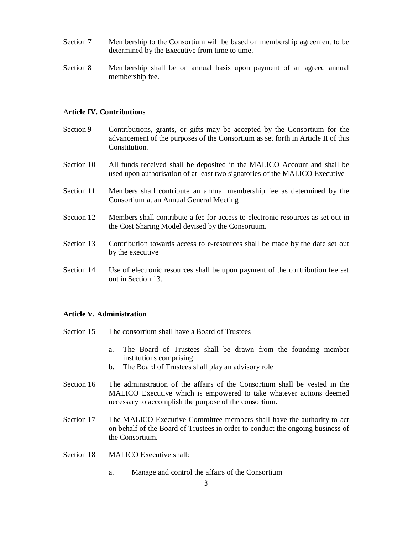- Section 7 Membership to the Consortium will be based on membership agreement to be determined by the Executive from time to time.
- Section 8 Membership shall be on annual basis upon payment of an agreed annual membership fee.

# A**rticle IV. Contributions**

- Section 9 Contributions, grants, or gifts may be accepted by the Consortium for the advancement of the purposes of the Consortium as set forth in Article II of this Constitution.
- Section 10 All funds received shall be deposited in the MALICO Account and shall be used upon authorisation of at least two signatories of the MALICO Executive
- Section 11 Members shall contribute an annual membership fee as determined by the Consortium at an Annual General Meeting
- Section 12 Members shall contribute a fee for access to electronic resources as set out in the Cost Sharing Model devised by the Consortium.
- Section 13 Contribution towards access to e-resources shall be made by the date set out by the executive
- Section 14 Use of electronic resources shall be upon payment of the contribution fee set out in Section 13.

#### **Article V. Administration**

- Section 15 The consortium shall have a Board of Trustees
	- a. The Board of Trustees shall be drawn from the founding member institutions comprising:
	- b. The Board of Trustees shall play an advisory role
- Section 16 The administration of the affairs of the Consortium shall be vested in the MALICO Executive which is empowered to take whatever actions deemed necessary to accomplish the purpose of the consortium.
- Section 17 The MALICO Executive Committee members shall have the authority to act on behalf of the Board of Trustees in order to conduct the ongoing business of the Consortium.
- Section 18 MALICO Executive shall:
	- a. Manage and control the affairs of the Consortium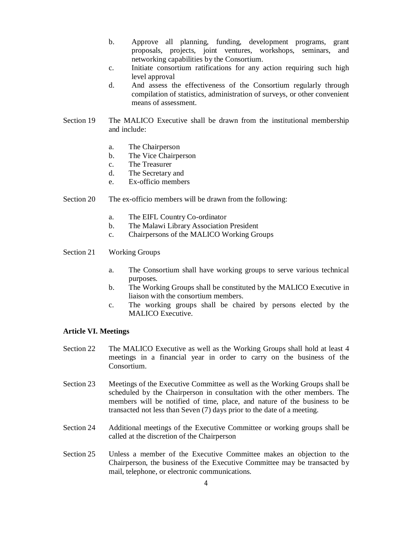- b. Approve all planning, funding, development programs, grant proposals, projects, joint ventures, workshops, seminars, and networking capabilities by the Consortium.
- c. Initiate consortium ratifications for any action requiring such high level approval
- d. And assess the effectiveness of the Consortium regularly through compilation of statistics, administration of surveys, or other convenient means of assessment.
- Section 19 The MALICO Executive shall be drawn from the institutional membership and include:
	- a. The Chairperson
	- b. The Vice Chairperson
	- c. The Treasurer
	- d. The Secretary and
	- e. Ex-officio members
- Section 20 The ex-officio members will be drawn from the following:
	- a. The EIFL Country Co-ordinator
	- b. The Malawi Library Association President
	- c. Chairpersons of the MALICO Working Groups
- Section 21 Working Groups
	- a. The Consortium shall have working groups to serve various technical purposes.
	- b. The Working Groups shall be constituted by the MALICO Executive in liaison with the consortium members.
	- c. The working groups shall be chaired by persons elected by the MALICO Executive.

## **Article VI. Meetings**

- Section 22 The MALICO Executive as well as the Working Groups shall hold at least 4 meetings in a financial year in order to carry on the business of the Consortium.
- Section 23 Meetings of the Executive Committee as well as the Working Groups shall be scheduled by the Chairperson in consultation with the other members. The members will be notified of time, place, and nature of the business to be transacted not less than Seven (7) days prior to the date of a meeting.
- Section 24 Additional meetings of the Executive Committee or working groups shall be called at the discretion of the Chairperson
- Section 25 Unless a member of the Executive Committee makes an objection to the Chairperson, the business of the Executive Committee may be transacted by mail, telephone, or electronic communications.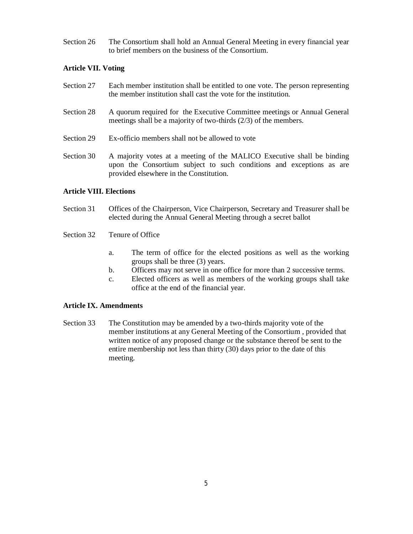Section 26 The Consortium shall hold an Annual General Meeting in every financial year to brief members on the business of the Consortium.

# **Article VII. Voting**

- Section 27 Each member institution shall be entitled to one vote. The person representing the member institution shall cast the vote for the institution.
- Section 28 A quorum required for the Executive Committee meetings or Annual General meetings shall be a majority of two-thirds (2/3) of the members.
- Section 29 Ex-officio members shall not be allowed to vote
- Section 30 A majority votes at a meeting of the MALICO Executive shall be binding upon the Consortium subject to such conditions and exceptions as are provided elsewhere in the Constitution.

# **Article VIII. Elections**

- Section 31 Offices of the Chairperson, Vice Chairperson, Secretary and Treasurer shall be elected during the Annual General Meeting through a secret ballot
- Section 32 Tenure of Office
	- a. The term of office for the elected positions as well as the working groups shall be three (3) years.
	- b. Officers may not serve in one office for more than 2 successive terms.
	- c. Elected officers as well as members of the working groups shall take office at the end of the financial year.

# **Article IX. Amendments**

Section 33 The Constitution may be amended by a two-thirds majority vote of the member institutions at any General Meeting of the Consortium , provided that written notice of any proposed change or the substance thereof be sent to the entire membership not less than thirty (30) days prior to the date of this meeting.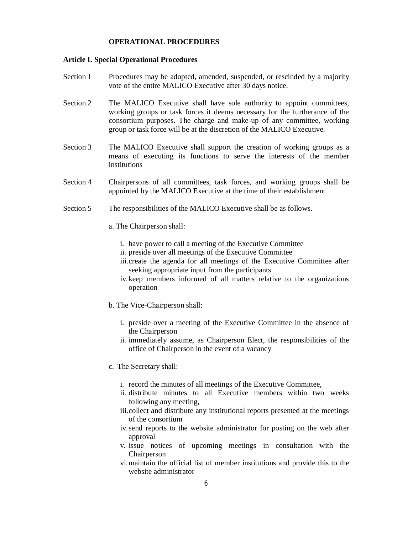# **OPERATIONAL PROCEDURES**

# **Article I. Special Operational Procedures**

- Section 1 Procedures may be adopted, amended, suspended, or rescinded by a majority vote of the entire MALICO Executive after 30 days notice.
- Section 2 The MALICO Executive shall have sole authority to appoint committees, working groups or task forces it deems necessary for the furtherance of the consortium purposes. The charge and make-up of any committee, working group or task force will be at the discretion of the MALICO Executive.
- Section 3 The MALICO Executive shall support the creation of working groups as a means of executing its functions to serve the interests of the member institutions
- Section 4 Chairpersons of all committees, task forces, and working groups shall be appointed by the MALICO Executive at the time of their establishment
- Section 5 The responsibilities of the MALICO Executive shall be as follows.
	- a. The Chairperson shall:
		- i. have power to call a meeting of the Executive Committee
		- ii. preside over all meetings of the Executive Committee
		- iii.create the agenda for all meetings of the Executive Committee after seeking appropriate input from the participants
		- iv.keep members informed of all matters relative to the organizations operation
	- b. The Vice-Chairperson shall:
		- i. preside over a meeting of the Executive Committee in the absence of the Chairperson
		- ii. immediately assume, as Chairperson Elect, the responsibilities of the office of Chairperson in the event of a vacancy
	- c. The Secretary shall:
		- i. record the minutes of all meetings of the Executive Committee,
		- ii. distribute minutes to all Executive members within two weeks following any meeting,
		- iii.collect and distribute any institutional reports presented at the meetings of the consortium
		- iv.send reports to the website administrator for posting on the web after approval
		- v. issue notices of upcoming meetings in consultation with the Chairperson
		- vi.maintain the official list of member institutions and provide this to the website administrator